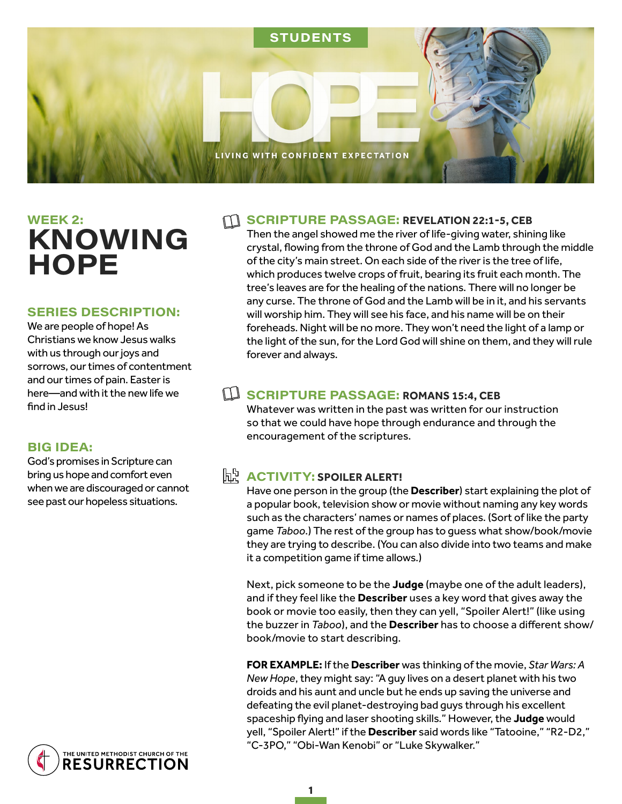

# **WEEK 2: KNOWING HOPE**

#### **SERIES DESCRIPTION:**

We are people of hope! As Christians we know Jesus walks with us through our joys and sorrows, our times of contentment and our times of pain. Easter is here—and with it the new life we find in Jesus!

#### **BIG IDEA:**

God's promises in Scripture can bring us hope and comfort even when we are discouraged or cannot see past our hopeless situations.



#### **SCRIPTURE PASSAGE: REVELATION 22:1-5, CEB**

Then the angel showed me the river of life-giving water, shining like crystal, flowing from the throne of God and the Lamb through the middle of the city's main street. On each side of the river is the tree of life, which produces twelve crops of fruit, bearing its fruit each month. The tree's leaves are for the healing of the nations. There will no longer be any curse. The throne of God and the Lamb will be in it, and his servants will worship him. They will see his face, and his name will be on their foreheads. Night will be no more. They won't need the light of a lamp or the light of the sun, for the Lord God will shine on them, and they will rule forever and always.

#### S C R IP T UR E PA S S A G E : **ROMANS 15:4, CEB**

Whatever was written in the past was written for our instruction so that we could have hope through endurance and through the encouragement of the scriptures.

## **h ACTIVITY: SPOILER ALERT!**

Have one person in the group (the **Describer**) start explaining the plot of a popular book, television show or movie without naming any key words such as the characters' names or names of places. (Sort of like the party game *Taboo*.) The rest of the group has to guess what show/book/movie they are trying to describe. (You can also divide into two teams and make it a competition game if time allows.)

Next, pick someone to be the **Judge** (maybe one of the adult leaders), and if they feel like the **Describer** uses a key word that gives away the book or movie too easily, then they can yell, "Spoiler Alert!" (like using the buzzer in *Taboo*), and the **Describer** has to choose a different show/ book/movie to start describing.

**FOR EXAMPLE:** If the **Describer** was thinking of the movie, *Star Wars: A New Hope*, they might say: "A guy lives on a desert planet with his two droids and his aunt and uncle but he ends up saving the universe and defeating the evil planet-destroying bad guys through his excellent spaceship flying and laser shooting skills." However, the **Judge** would yell, "Spoiler Alert!" if the **Describer** said words like "Tatooine," "R2-D2," "C-3PO," "Obi-Wan Kenobi" or "Luke Skywalker."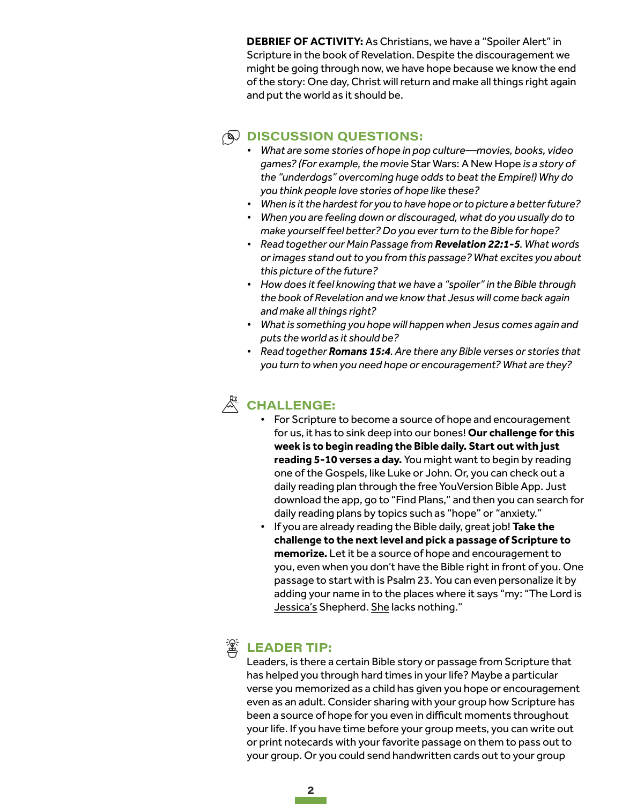**DEBRIEF OF ACTIVITY:** As Christians, we have a "Spoiler Alert" in Scripture in the book of Revelation. Despite the discouragement we might be going through now, we have hope because we know the end of the story: One day, Christ will return and make all things right again and put the world as it should be.

## $\circledR$  DISCUSSION QUESTIONS:

- *• What are some stories of hope in pop culture—movies, books, video games? (For example, the movie* Star Wars: A New Hope *is a story of the "underdogs" overcoming huge odds to beat the Empire!) Why do you think people love stories of hope like these?*
- *• When is it the hardest for you to have hope or to picture a better future?*
- *• When you are feeling down or discouraged, what do you usually do to make yourself feel better? Do you ever turn to the Bible for hope?*
- *• Read together our Main Passage from Revelation 22:1-5. What words or images stand out to you from this passage? What excites you about this picture of the future?*
- *• How does it feel knowing that we have a "spoiler" in the Bible through the book of Revelation and we know that Jesus will come back again and make all things right?*
- *• What is something you hope will happen when Jesus comes again and puts the world as it should be?*
- *• Read together Romans 15:4. Are there any Bible verses or stories that you turn to when you need hope or encouragement? What are they?*

# **CHALLENGE:**

- For Scripture to become a source of hope and encouragement for us, it has to sink deep into our bones! **Our challenge for this week is to begin reading the Bible daily. Start out with just reading 5-10 verses a day.** You might want to begin by reading one of the Gospels, like Luke or John. Or, you can check out a daily reading plan through the free YouVersion Bible App. Just download the app, go to "Find Plans," and then you can search for daily reading plans by topics such as "hope" or "anxiety."
- If you are already reading the Bible daily, great job! **Take the challenge to the next level and pick a passage of Scripture to memorize.** Let it be a source of hope and encouragement to you, even when you don't have the Bible right in front of you. One passage to start with is Psalm 23. You can even personalize it by adding your name in to the places where it says "my: "The Lord is Jessica's Shepherd. She lacks nothing."



# **LEADER TIP:**

Leaders, is there a certain Bible story or passage from Scripture that has helped you through hard times in your life? Maybe a particular verse you memorized as a child has given you hope or encouragement even as an adult. Consider sharing with your group how Scripture has been a source of hope for you even in difficult moments throughout your life. If you have time before your group meets, you can write out or print notecards with your favorite passage on them to pass out to your group. Or you could send handwritten cards out to your group